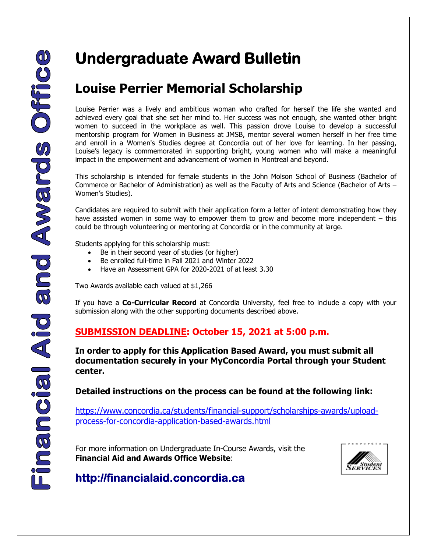# **Undergraduate Award Bulletin**

## **Louise Perrier Memorial Scholarship**

Louise Perrier was a lively and ambitious woman who crafted for herself the life she wanted and achieved every goal that she set her mind to. Her success was not enough, she wanted other bright women to succeed in the workplace as well. This passion drove Louise to develop a successful mentorship program for Women in Business at JMSB, mentor several women herself in her free time and enroll in a Women's Studies degree at Concordia out of her love for learning. In her passing, Louise's legacy is commemorated in supporting bright, young women who will make a meaningful impact in the empowerment and advancement of women in Montreal and beyond.

This scholarship is intended for female students in the John Molson School of Business (Bachelor of Commerce or Bachelor of Administration) as well as the Faculty of Arts and Science (Bachelor of Arts – Women's Studies).

Candidates are required to submit with their application form a letter of intent demonstrating how they have assisted women in some way to empower them to grow and become more independent – this could be through volunteering or mentoring at Concordia or in the community at large.

Students applying for this scholarship must:

- Be in their second year of studies (or higher)
- Be enrolled full-time in Fall 2021 and Winter 2022
- Have an Assessment GPA for 2020-2021 of at least 3.30

Two Awards available each valued at \$1,266

If you have a **Co-Curricular Record** at Concordia University, feel free to include a copy with your submission along with the other supporting documents described above.

### **SUBMISSION DEADLINE: October 15, 2021 at 5:00 p.m.**

**In order to apply for this Application Based Award, you must submit all documentation securely in your MyConcordia Portal through your Student center.** 

**Detailed instructions on the process can be found at the following link:**

[https://www.concordia.ca/students/financial-support/scholarships-awards/upload](https://www.concordia.ca/students/financial-support/scholarships-awards/upload-process-for-concordia-application-based-awards.html)[process-for-concordia-application-based-awards.html](https://www.concordia.ca/students/financial-support/scholarships-awards/upload-process-for-concordia-application-based-awards.html)

For more information on Undergraduate In-Course Awards, visit the **Financial Aid and Awards Office Website**: